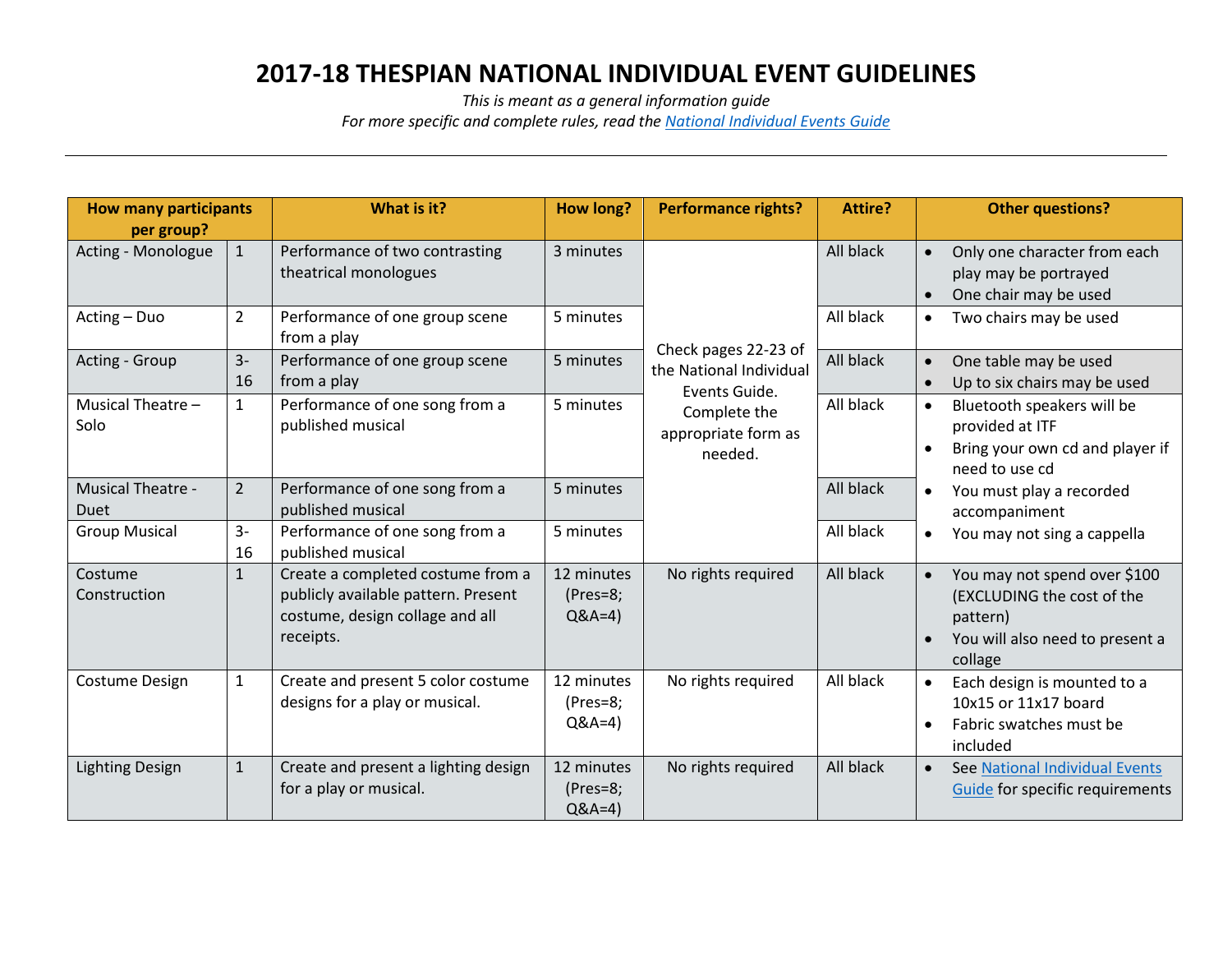## **2017-18 THESPIAN NATIONAL INDIVIDUAL EVENT GUIDELINES**

*This is meant as a general information guide*

*For more specific and complete rules, read th[e National Individual Events Guide](https://www.schooltheatre.org/viewdocument/national-individual-3)*

| <b>How many participants</b>     |                | What is it?                                                                                                              | <b>How long?</b>                  | <b>Performance rights?</b>                     | <b>Attire?</b> | <b>Other questions?</b>                                                                                              |
|----------------------------------|----------------|--------------------------------------------------------------------------------------------------------------------------|-----------------------------------|------------------------------------------------|----------------|----------------------------------------------------------------------------------------------------------------------|
| per group?                       |                |                                                                                                                          |                                   |                                                |                |                                                                                                                      |
| Acting - Monologue               | $\mathbf{1}$   | Performance of two contrasting<br>theatrical monologues                                                                  | 3 minutes                         |                                                | All black      | Only one character from each<br>$\bullet$<br>play may be portrayed<br>One chair may be used<br>$\bullet$             |
| Acting - Duo                     | $\overline{2}$ | Performance of one group scene<br>from a play                                                                            | 5 minutes                         | Check pages 22-23 of                           | All black      | Two chairs may be used<br>$\bullet$                                                                                  |
| Acting - Group                   | $3-$<br>16     | Performance of one group scene<br>from a play                                                                            | 5 minutes                         | the National Individual<br>Events Guide.       | All black      | One table may be used<br>$\bullet$<br>Up to six chairs may be used<br>$\bullet$                                      |
| Musical Theatre -<br>Solo        | $\mathbf{1}$   | Performance of one song from a<br>published musical                                                                      | 5 minutes                         | Complete the<br>appropriate form as<br>needed. | All black      | Bluetooth speakers will be<br>$\bullet$<br>provided at ITF<br>Bring your own cd and player if<br>need to use cd      |
| <b>Musical Theatre -</b><br>Duet | $\overline{2}$ | Performance of one song from a<br>published musical                                                                      | 5 minutes                         |                                                | All black      | You must play a recorded<br>accompaniment                                                                            |
| <b>Group Musical</b>             | $3-$<br>16     | Performance of one song from a<br>published musical                                                                      | 5 minutes                         |                                                | All black      | You may not sing a cappella<br>$\bullet$                                                                             |
| Costume<br>Construction          | $\mathbf{1}$   | Create a completed costume from a<br>publicly available pattern. Present<br>costume, design collage and all<br>receipts. | 12 minutes<br>(Pres=8;<br>$Q&A=4$ | No rights required                             | All black      | You may not spend over \$100<br>(EXCLUDING the cost of the<br>pattern)<br>You will also need to present a<br>collage |
| Costume Design                   | $\mathbf{1}$   | Create and present 5 color costume<br>designs for a play or musical.                                                     | 12 minutes<br>(Pres=8;<br>$Q&A=4$ | No rights required                             | All black      | Each design is mounted to a<br>$\bullet$<br>10x15 or 11x17 board<br>Fabric swatches must be<br>$\bullet$<br>included |
| <b>Lighting Design</b>           | $\mathbf{1}$   | Create and present a lighting design<br>for a play or musical.                                                           | 12 minutes<br>(Pres=8;<br>$Q&A=4$ | No rights required                             | All black      | See National Individual Events<br>$\bullet$<br><b>Guide</b> for specific requirements                                |